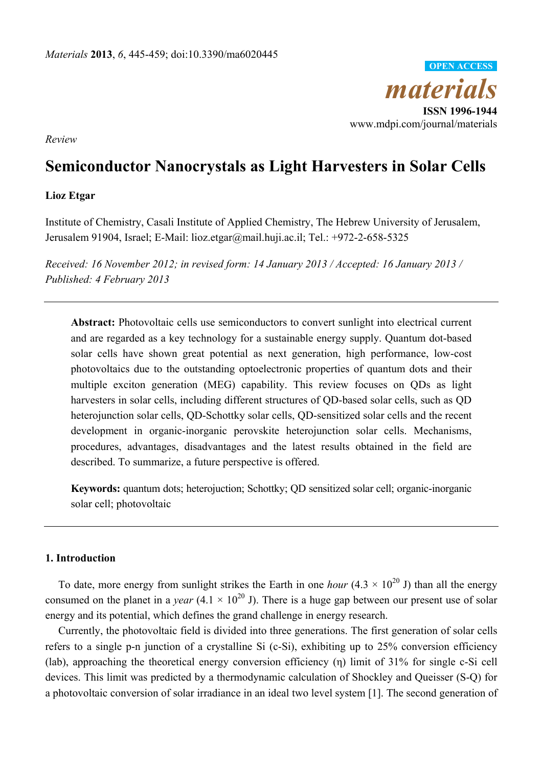

*Review* 

# **Semiconductor Nanocrystals as Light Harvesters in Solar Cells**

# **Lioz Etgar**

Institute of Chemistry, Casali Institute of Applied Chemistry, The Hebrew University of Jerusalem, Jerusalem 91904, Israel; E-Mail: lioz.etgar@mail.huji.ac.il; Tel.: +972-2-658-5325

*Received: 16 November 2012; in revised form: 14 January 2013 / Accepted: 16 January 2013 / Published: 4 February 2013* 

**Abstract:** Photovoltaic cells use semiconductors to convert sunlight into electrical current and are regarded as a key technology for a sustainable energy supply. Quantum dot-based solar cells have shown great potential as next generation, high performance, low-cost photovoltaics due to the outstanding optoelectronic properties of quantum dots and their multiple exciton generation (MEG) capability. This review focuses on QDs as light harvesters in solar cells, including different structures of QD-based solar cells, such as QD heterojunction solar cells, QD-Schottky solar cells, QD-sensitized solar cells and the recent development in organic-inorganic perovskite heterojunction solar cells. Mechanisms, procedures, advantages, disadvantages and the latest results obtained in the field are described. To summarize, a future perspective is offered.

**Keywords:** quantum dots; heterojuction; Schottky; QD sensitized solar cell; organic-inorganic solar cell; photovoltaic

## **1. Introduction**

To date, more energy from sunlight strikes the Earth in one *hour* (4.3  $\times$  10<sup>20</sup> J) than all the energy consumed on the planet in a *year*  $(4.1 \times 10^{20} \text{ J})$ . There is a huge gap between our present use of solar energy and its potential, which defines the grand challenge in energy research.

Currently, the photovoltaic field is divided into three generations. The first generation of solar cells refers to a single p-n junction of a crystalline Si (c-Si), exhibiting up to 25% conversion efficiency (lab), approaching the theoretical energy conversion efficiency (η) limit of 31% for single c-Si cell devices. This limit was predicted by a thermodynamic calculation of Shockley and Queisser (S-Q) for a photovoltaic conversion of solar irradiance in an ideal two level system [1]. The second generation of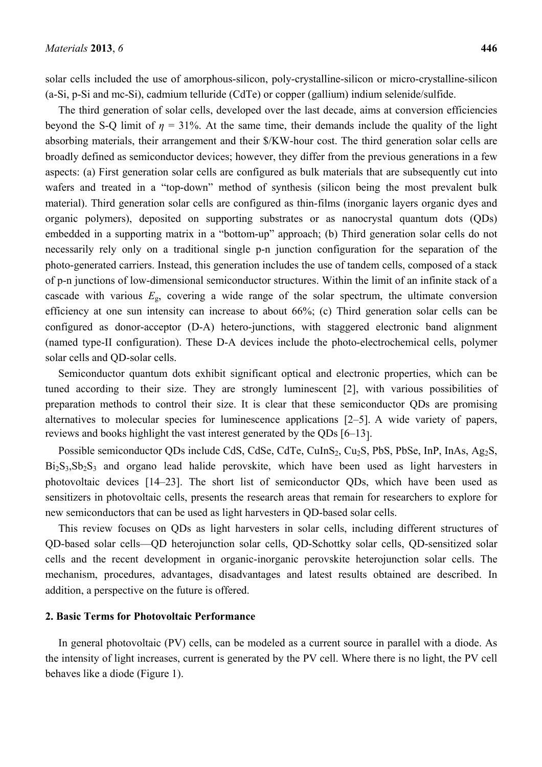solar cells included the use of amorphous-silicon, poly-crystalline-silicon or micro-crystalline-silicon (a-Si, p-Si and mc-Si), cadmium telluride (CdTe) or copper (gallium) indium selenide/sulfide.

The third generation of solar cells, developed over the last decade, aims at conversion efficiencies beyond the S-Q limit of  $\eta = 31\%$ . At the same time, their demands include the quality of the light absorbing materials, their arrangement and their \$/KW-hour cost. The third generation solar cells are broadly defined as semiconductor devices; however, they differ from the previous generations in a few aspects: (a) First generation solar cells are configured as bulk materials that are subsequently cut into wafers and treated in a "top-down" method of synthesis (silicon being the most prevalent bulk material). Third generation solar cells are configured as thin-films (inorganic layers organic dyes and organic polymers), deposited on supporting substrates or as nanocrystal quantum dots (QDs) embedded in a supporting matrix in a "bottom-up" approach; (b) Third generation solar cells do not necessarily rely only on a traditional single p-n junction configuration for the separation of the photo-generated carriers. Instead, this generation includes the use of tandem cells, composed of a stack of p-n junctions of low-dimensional semiconductor structures. Within the limit of an infinite stack of a cascade with various  $E<sub>g</sub>$ , covering a wide range of the solar spectrum, the ultimate conversion efficiency at one sun intensity can increase to about 66%; (c) Third generation solar cells can be configured as donor-acceptor (D-A) hetero-junctions, with staggered electronic band alignment (named type-II configuration). These D-A devices include the photo-electrochemical cells, polymer solar cells and QD-solar cells.

Semiconductor quantum dots exhibit significant optical and electronic properties, which can be tuned according to their size. They are strongly luminescent [2], with various possibilities of preparation methods to control their size. It is clear that these semiconductor QDs are promising alternatives to molecular species for luminescence applications [2–5]. A wide variety of papers, reviews and books highlight the vast interest generated by the QDs [6–13].

Possible semiconductor QDs include CdS, CdSe, CdTe, CuInS<sub>2</sub>, Cu<sub>2</sub>S, PbS, PbSe, InP, InAs, Ag<sub>2</sub>S,  $Bi<sub>2</sub>S<sub>3</sub>, Sb<sub>2</sub>S<sub>3</sub>$  and organo lead halide perovskite, which have been used as light harvesters in photovoltaic devices [14–23]. The short list of semiconductor QDs, which have been used as sensitizers in photovoltaic cells, presents the research areas that remain for researchers to explore for new semiconductors that can be used as light harvesters in QD-based solar cells.

This review focuses on QDs as light harvesters in solar cells, including different structures of QD-based solar cells—QD heterojunction solar cells, QD-Schottky solar cells, QD-sensitized solar cells and the recent development in organic-inorganic perovskite heterojunction solar cells. The mechanism, procedures, advantages, disadvantages and latest results obtained are described. In addition, a perspective on the future is offered.

#### **2. Basic Terms for Photovoltaic Performance**

In general photovoltaic (PV) cells, can be modeled as a current source in parallel with a diode. As the intensity of light increases, current is generated by the PV cell. Where there is no light, the PV cell behaves like a diode (Figure 1).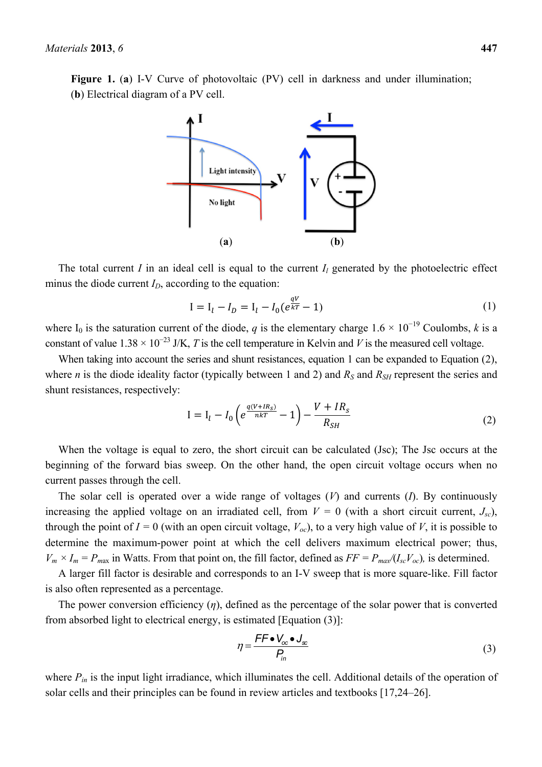**Figure 1.** (**a**) I-V Curve of photovoltaic (PV) cell in darkness and under illumination; (**b**) Electrical diagram of a PV cell.



The total current *I* in an ideal cell is equal to the current  $I_l$  generated by the photoelectric effect minus the diode current  $I_D$ , according to the equation:

$$
I = I_l - I_D = I_l - I_0(e^{\frac{qV}{kT}} - 1)
$$
\n(1)

where I<sub>0</sub> is the saturation current of the diode, *q* is the elementary charge  $1.6 \times 10^{-19}$  Coulombs, *k* is a constant of value  $1.38 \times 10^{-23}$  J/K, *T* is the cell temperature in Kelvin and *V* is the measured cell voltage.

When taking into account the series and shunt resistances, equation 1 can be expanded to Equation (2), where *n* is the diode ideality factor (typically between 1 and 2) and  $R<sub>S</sub>$  and  $R<sub>S</sub>$  represent the series and shunt resistances, respectively:

$$
I = I_{l} - I_{0} \left( e^{\frac{q(V + IR_{S})}{nkT}} - 1 \right) - \frac{V + IR_{S}}{R_{SH}}
$$
(2)

When the voltage is equal to zero, the short circuit can be calculated (Jsc); The Jsc occurs at the beginning of the forward bias sweep. On the other hand, the open circuit voltage occurs when no current passes through the cell.

The solar cell is operated over a wide range of voltages (*V*) and currents (*I*). By continuously increasing the applied voltage on an irradiated cell, from  $V = 0$  (with a short circuit current,  $J_{sc}$ ), through the point of  $I = 0$  (with an open circuit voltage,  $V_{oc}$ ), to a very high value of *V*, it is possible to determine the maximum-power point at which the cell delivers maximum electrical power; thus,  $V_m \times I_m = P_{max}$  in Watts. From that point on, the fill factor, defined as  $FF = P_{max}/(I_{sc}V_{oc})$ , is determined.

A larger fill factor is desirable and corresponds to an I-V sweep that is more square-like. Fill factor is also often represented as a percentage.

The power conversion efficiency (*η*), defined as the percentage of the solar power that is converted from absorbed light to electrical energy, is estimated [Equation (3)]:

$$
\eta = \frac{FF \bullet V_{\infty} \bullet J_{\infty}}{P_{in}}
$$
\n(3)

where  $P_{in}$  is the input light irradiance, which illuminates the cell. Additional details of the operation of solar cells and their principles can be found in review articles and textbooks [17,24–26].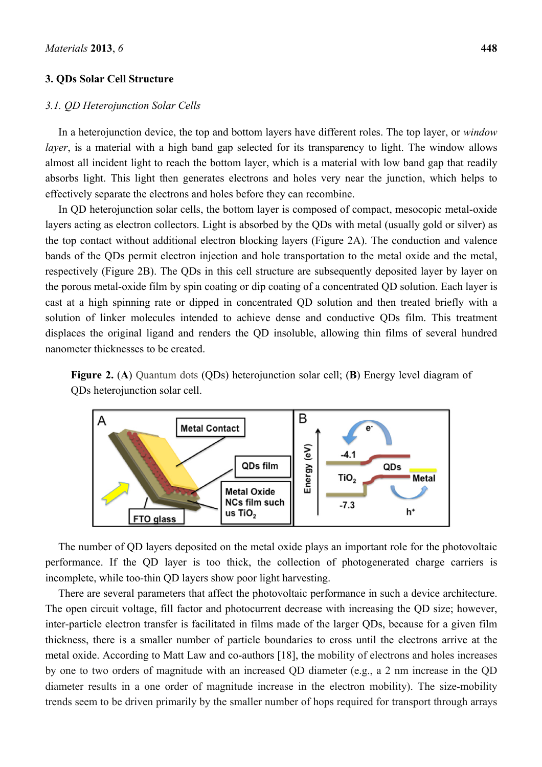## **3. QDs Solar Cell Structure**

#### *3.1. QD Heterojunction Solar Cells*

In a heterojunction device, the top and bottom layers have different roles. The top layer, or *window layer*, is a material with a high band gap selected for its transparency to light. The window allows almost all incident light to reach the bottom layer, which is a material with low band gap that readily absorbs light. This light then generates electrons and holes very near the junction, which helps to effectively separate the electrons and holes before they can recombine.

In QD heterojunction solar cells, the bottom layer is composed of compact, mesocopic metal-oxide layers acting as electron collectors. Light is absorbed by the QDs with metal (usually gold or silver) as the top contact without additional electron blocking layers (Figure 2A). The conduction and valence bands of the QDs permit electron injection and hole transportation to the metal oxide and the metal, respectively (Figure 2B). The QDs in this cell structure are subsequently deposited layer by layer on the porous metal-oxide film by spin coating or dip coating of a concentrated QD solution. Each layer is cast at a high spinning rate or dipped in concentrated QD solution and then treated briefly with a solution of linker molecules intended to achieve dense and conductive QDs film. This treatment displaces the original ligand and renders the QD insoluble, allowing thin films of several hundred nanometer thicknesses to be created.





The number of QD layers deposited on the metal oxide plays an important role for the photovoltaic performance. If the QD layer is too thick, the collection of photogenerated charge carriers is incomplete, while too-thin QD layers show poor light harvesting.

There are several parameters that affect the photovoltaic performance in such a device architecture. The open circuit voltage, fill factor and photocurrent decrease with increasing the QD size; however, inter-particle electron transfer is facilitated in films made of the larger QDs, because for a given film thickness, there is a smaller number of particle boundaries to cross until the electrons arrive at the metal oxide. According to Matt Law and co-authors [18], the mobility of electrons and holes increases by one to two orders of magnitude with an increased QD diameter (e.g., a 2 nm increase in the QD diameter results in a one order of magnitude increase in the electron mobility). The size-mobility trends seem to be driven primarily by the smaller number of hops required for transport through arrays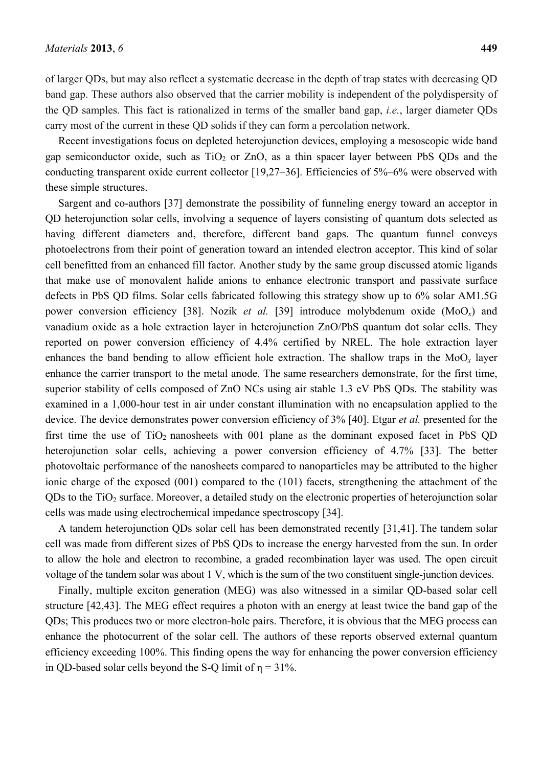of larger QDs, but may also reflect a systematic decrease in the depth of trap states with decreasing QD band gap. These authors also observed that the carrier mobility is independent of the polydispersity of the QD samples. This fact is rationalized in terms of the smaller band gap, *i.e.*, larger diameter QDs carry most of the current in these QD solids if they can form a percolation network.

Recent investigations focus on depleted heterojunction devices, employing a mesoscopic wide band gap semiconductor oxide, such as  $TiO<sub>2</sub>$  or ZnO, as a thin spacer layer between PbS ODs and the conducting transparent oxide current collector [19,27–36]. Efficiencies of 5%–6% were observed with these simple structures.

Sargent and co-authors [37] demonstrate the possibility of funneling energy toward an acceptor in QD heterojunction solar cells, involving a sequence of layers consisting of quantum dots selected as having different diameters and, therefore, different band gaps. The quantum funnel conveys photoelectrons from their point of generation toward an intended electron acceptor. This kind of solar cell benefitted from an enhanced fill factor. Another study by the same group discussed atomic ligands that make use of monovalent halide anions to enhance electronic transport and passivate surface defects in PbS QD films. Solar cells fabricated following this strategy show up to 6% solar AM1.5G power conversion efficiency [38]. Nozik *et al.* [39] introduce molybdenum oxide (MoO*x*) and vanadium oxide as a hole extraction layer in heterojunction ZnO/PbS quantum dot solar cells. They reported on power conversion efficiency of 4.4% certified by NREL. The hole extraction layer enhances the band bending to allow efficient hole extraction. The shallow traps in the  $MoO<sub>x</sub>$  layer enhance the carrier transport to the metal anode. The same researchers demonstrate, for the first time, superior stability of cells composed of ZnO NCs using air stable 1.3 eV PbS QDs. The stability was examined in a 1,000-hour test in air under constant illumination with no encapsulation applied to the device. The device demonstrates power conversion efficiency of 3% [40]. Etgar *et al.* presented for the first time the use of  $TiO<sub>2</sub>$  nanosheets with 001 plane as the dominant exposed facet in PbS QD heterojunction solar cells, achieving a power conversion efficiency of 4.7% [33]. The better photovoltaic performance of the nanosheets compared to nanoparticles may be attributed to the higher ionic charge of the exposed (001) compared to the (101) facets, strengthening the attachment of the  $QDs$  to the TiO<sub>2</sub> surface. Moreover, a detailed study on the electronic properties of heterojunction solar cells was made using electrochemical impedance spectroscopy [34].

A tandem heterojunction QDs solar cell has been demonstrated recently [31,41]. The tandem solar cell was made from different sizes of PbS QDs to increase the energy harvested from the sun. In order to allow the hole and electron to recombine, a graded recombination layer was used. The open circuit voltage of the tandem solar was about 1 V, which is the sum of the two constituent single-junction devices.

Finally, multiple exciton generation (MEG) was also witnessed in a similar QD-based solar cell structure [42,43]. The MEG effect requires a photon with an energy at least twice the band gap of the QDs; This produces two or more electron-hole pairs. Therefore, it is obvious that the MEG process can enhance the photocurrent of the solar cell. The authors of these reports observed external quantum efficiency exceeding 100%. This finding opens the way for enhancing the power conversion efficiency in QD-based solar cells beyond the S-Q limit of  $\eta = 31\%$ .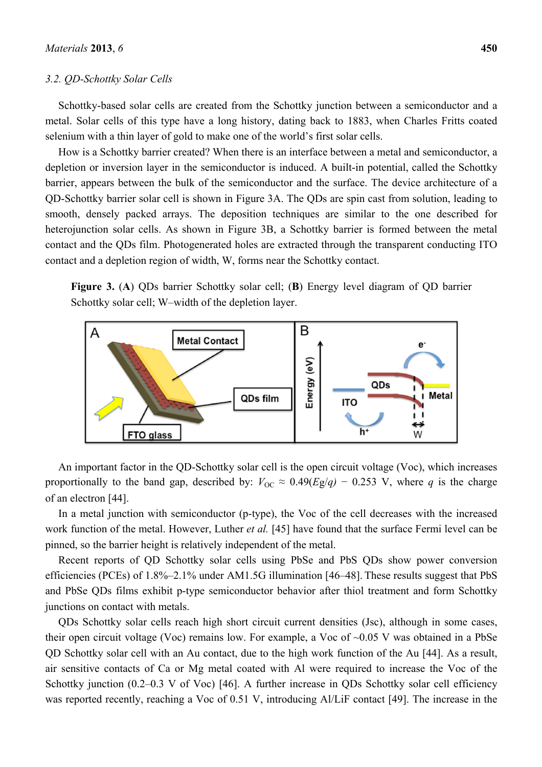#### *3.2. QD-Schottky Solar Cells*

Schottky-based solar cells are created from the Schottky junction between a semiconductor and a metal. Solar cells of this type have a long history, dating back to 1883, when Charles Fritts coated selenium with a thin layer of gold to make one of the world's first solar cells.

How is a Schottky barrier created? When there is an interface between a metal and semiconductor, a depletion or inversion layer in the semiconductor is induced. A built-in potential, called the Schottky barrier, appears between the bulk of the semiconductor and the surface. The device architecture of a QD-Schottky barrier solar cell is shown in Figure 3A. The QDs are spin cast from solution, leading to smooth, densely packed arrays. The deposition techniques are similar to the one described for heterojunction solar cells. As shown in Figure 3B, a Schottky barrier is formed between the metal contact and the QDs film. Photogenerated holes are extracted through the transparent conducting ITO contact and a depletion region of width, W, forms near the Schottky contact.

**Figure 3.** (**A**) QDs barrier Schottky solar cell; (**B**) Energy level diagram of QD barrier Schottky solar cell; W–width of the depletion layer.



An important factor in the QD-Schottky solar cell is the open circuit voltage (Voc), which increases proportionally to the band gap, described by:  $V_{OC} \approx 0.49(Eg/q) - 0.253$  V, where *q* is the charge of an electron [44].

In a metal junction with semiconductor (p-type), the Voc of the cell decreases with the increased work function of the metal. However, Luther *et al.* [45] have found that the surface Fermi level can be pinned, so the barrier height is relatively independent of the metal.

Recent reports of QD Schottky solar cells using PbSe and PbS QDs show power conversion efficiencies (PCEs) of 1.8%–2.1% under AM1.5G illumination [46–48]. These results suggest that PbS and PbSe QDs films exhibit p-type semiconductor behavior after thiol treatment and form Schottky junctions on contact with metals.

QDs Schottky solar cells reach high short circuit current densities (Jsc), although in some cases, their open circuit voltage (Voc) remains low. For example, a Voc of ~0.05 V was obtained in a PbSe QD Schottky solar cell with an Au contact, due to the high work function of the Au [44]. As a result, air sensitive contacts of Ca or Mg metal coated with Al were required to increase the Voc of the Schottky junction (0.2–0.3 V of Voc) [46]. A further increase in ODs Schottky solar cell efficiency was reported recently, reaching a Voc of 0.51 V, introducing Al/LiF contact [49]. The increase in the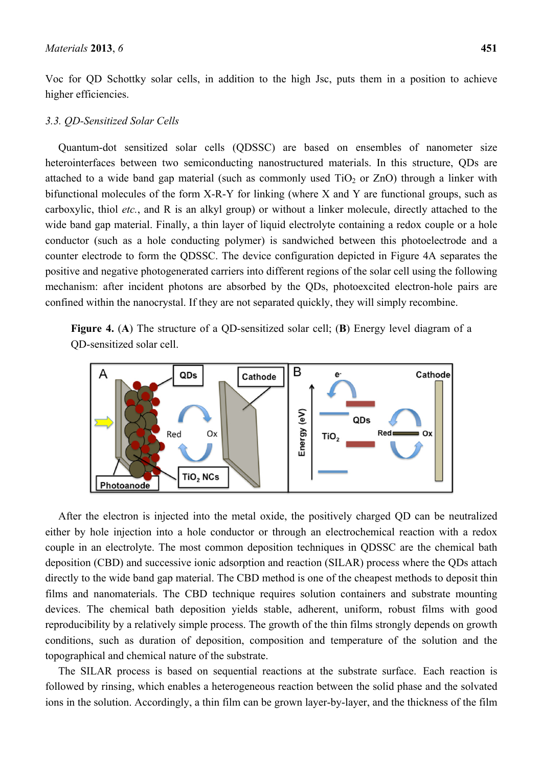Voc for QD Schottky solar cells, in addition to the high Jsc, puts them in a position to achieve higher efficiencies.

#### *3.3. QD-Sensitized Solar Cells*

Quantum-dot sensitized solar cells (QDSSC) are based on ensembles of nanometer size heterointerfaces between two semiconducting nanostructured materials. In this structure, ODs are attached to a wide band gap material (such as commonly used  $TiO<sub>2</sub>$  or  $ZnO$ ) through a linker with bifunctional molecules of the form X-R-Y for linking (where X and Y are functional groups, such as carboxylic, thiol *etc.*, and R is an alkyl group) or without a linker molecule, directly attached to the wide band gap material. Finally, a thin layer of liquid electrolyte containing a redox couple or a hole conductor (such as a hole conducting polymer) is sandwiched between this photoelectrode and a counter electrode to form the QDSSC. The device configuration depicted in Figure 4A separates the positive and negative photogenerated carriers into different regions of the solar cell using the following mechanism: after incident photons are absorbed by the QDs, photoexcited electron-hole pairs are confined within the nanocrystal. If they are not separated quickly, they will simply recombine.

**Figure 4.** (**A**) The structure of a QD-sensitized solar cell; (**B**) Energy level diagram of a QD-sensitized solar cell.



After the electron is injected into the metal oxide, the positively charged QD can be neutralized either by hole injection into a hole conductor or through an electrochemical reaction with a redox couple in an electrolyte. The most common deposition techniques in QDSSC are the chemical bath deposition (CBD) and successive ionic adsorption and reaction (SILAR) process where the QDs attach directly to the wide band gap material. The CBD method is one of the cheapest methods to deposit thin films and nanomaterials. The CBD technique requires solution containers and substrate mounting devices. The chemical bath deposition yields stable, adherent, uniform, robust films with good reproducibility by a relatively simple process. The growth of the thin films strongly depends on growth conditions, such as duration of deposition, composition and temperature of the solution and the topographical and chemical nature of the substrate.

The SILAR process is based on sequential reactions at the substrate surface. Each reaction is followed by rinsing, which enables a heterogeneous reaction between the solid phase and the solvated ions in the solution. Accordingly, a thin film can be grown layer-by-layer, and the thickness of the film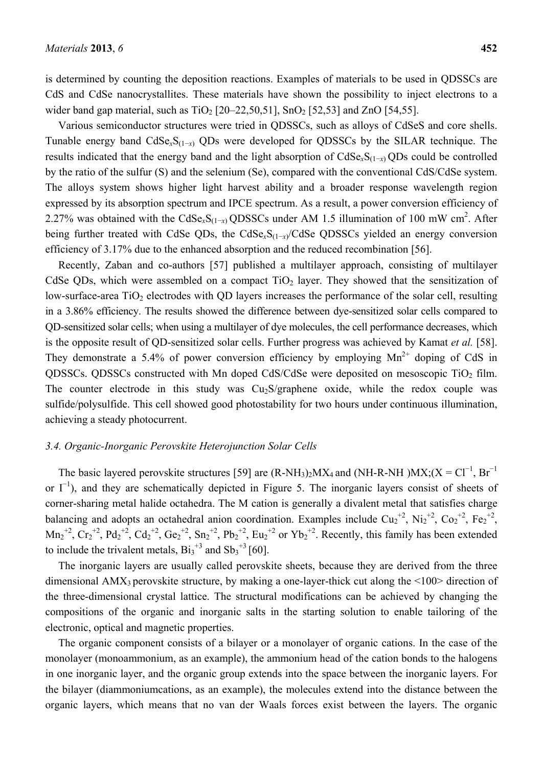is determined by counting the deposition reactions. Examples of materials to be used in QDSSCs are CdS and CdSe nanocrystallites. These materials have shown the possibility to inject electrons to a wider band gap material, such as  $TiO_2$  [20–22,50,51],  $SnO_2$  [52,53] and ZnO [54,55].

Various semiconductor structures were tried in QDSSCs, such as alloys of CdSeS and core shells. Tunable energy band CdSe*x*S(1−*x*) QDs were developed for QDSSCs by the SILAR technique. The results indicated that the energy band and the light absorption of CdSe*x*S(1−*x*) QDs could be controlled by the ratio of the sulfur (S) and the selenium (Se), compared with the conventional CdS/CdSe system. The alloys system shows higher light harvest ability and a broader response wavelength region expressed by its absorption spectrum and IPCE spectrum. As a result, a power conversion efficiency of 2.27% was obtained with the CdSe<sub>*x*</sub>S<sub>(1-*x*)</sub> QDSSCs under AM 1.5 illumination of 100 mW cm<sup>2</sup>. After being further treated with CdSe QDs, the CdSe*x*S(1−*x*)/CdSe QDSSCs yielded an energy conversion efficiency of 3.17% due to the enhanced absorption and the reduced recombination [56].

Recently, Zaban and co-authors [57] published a multilayer approach, consisting of multilayer CdSe QDs, which were assembled on a compact  $TiO<sub>2</sub>$  layer. They showed that the sensitization of low-surface-area  $TiO<sub>2</sub>$  electrodes with QD layers increases the performance of the solar cell, resulting in a 3.86% efficiency. The results showed the difference between dye-sensitized solar cells compared to QD-sensitized solar cells; when using a multilayer of dye molecules, the cell performance decreases, which is the opposite result of QD-sensitized solar cells. Further progress was achieved by Kamat *et al.* [58]. They demonstrate a 5.4% of power conversion efficiency by employing  $Mn^{2+}$  doping of CdS in QDSSCs. QDSSCs constructed with Mn doped CdS/CdSe were deposited on mesoscopic TiO<sub>2</sub> film. The counter electrode in this study was  $Cu<sub>2</sub>S$ /graphene oxide, while the redox couple wassulfide/polysulfide. This cell showed good photostability for two hours under continuous illumination, achieving a steady photocurrent.

#### *3.4. Organic-Inorganic Perovskite Heterojunction Solar Cells*

The basic layered perovskite structures [59] are  $(R-NH<sub>3</sub>)<sub>2</sub> MX<sub>4</sub>$  and  $(NH-R-NH)MX; (X = Cl<sup>-1</sup>, Br<sup>-1</sup>)$ or  $I^{-1}$ ), and they are schematically depicted in Figure 5. The inorganic layers consist of sheets of corner-sharing metal halide octahedra. The M cation is generally a divalent metal that satisfies charge balancing and adopts an octahedral anion coordination. Examples include  $Cu_2^{2}$ ,  $Ni_2^{2}$ ,  $Co_2^{2}$ ,  $Fe_2^{2}$ ,  $Mn_2^{2}$ ,  $Cr_2^{2}$ ,  $Pd_2^{2}$ ,  $Cd_2^{2}$ ,  $Ga_2^{2}$ ,  $Sn_2^{2}$ ,  $Pb_2^{2}$ ,  $Eu_2^{2}$  or  $Yb_2^{2}$ . Recently, this family has been extended to include the trivalent metals,  $B_{3}^{+3}$  and  $S_{3}^{+3}$  [60].

The inorganic layers are usually called perovskite sheets, because they are derived from the three dimensional AMX<sub>3</sub> perovskite structure, by making a one-layer-thick cut along the  $\leq 100$  direction of the three-dimensional crystal lattice. The structural modifications can be achieved by changing the compositions of the organic and inorganic salts in the starting solution to enable tailoring of the electronic, optical and magnetic properties.

The organic component consists of a bilayer or a monolayer of organic cations. In the case of the monolayer (monoammonium, as an example), the ammonium head of the cation bonds to the halogens in one inorganic layer, and the organic group extends into the space between the inorganic layers. For the bilayer (diammoniumcations, as an example), the molecules extend into the distance between the organic layers, which means that no van der Waals forces exist between the layers. The organic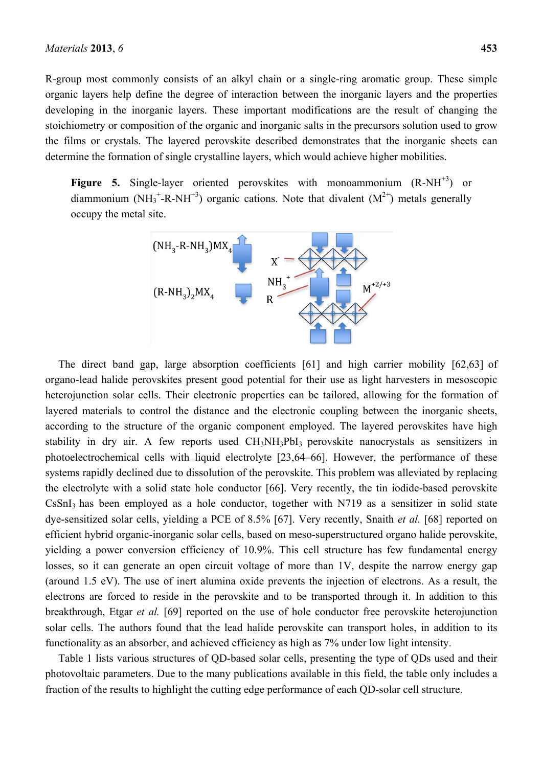R-group most commonly consists of an alkyl chain or a single-ring aromatic group. These simple organic layers help define the degree of interaction between the inorganic layers and the properties developing in the inorganic layers. These important modifications are the result of changing the stoichiometry or composition of the organic and inorganic salts in the precursors solution used to grow the films or crystals. The layered perovskite described demonstrates that the inorganic sheets can determine the formation of single crystalline layers, which would achieve higher mobilities.

**Figure 5.** Single-layer oriented perovskites with monoammonium (R-NH<sup>+3</sup>) or diammonium (NH<sub>3</sub><sup>+</sup>-R-NH<sup>+3</sup>) organic cations. Note that divalent ( $M^{2+}$ ) metals generally occupy the metal site.



The direct band gap, large absorption coefficients [61] and high carrier mobility [62,63] of organo-lead halide perovskites present good potential for their use as light harvesters in mesoscopic heterojunction solar cells. Their electronic properties can be tailored, allowing for the formation of layered materials to control the distance and the electronic coupling between the inorganic sheets, according to the structure of the organic component employed. The layered perovskites have high stability in dry air. A few reports used CH<sub>3</sub>NH<sub>3</sub>PbI<sub>3</sub> perovskite nanocrystals as sensitizers in photoelectrochemical cells with liquid electrolyte [23,64–66]. However, the performance of these systems rapidly declined due to dissolution of the perovskite. This problem was alleviated by replacing the electrolyte with a solid state hole conductor [66]. Very recently, the tin iodide-based perovskite  $CsSnI<sub>3</sub>$  has been employed as a hole conductor, together with N719 as a sensitizer in solid state dye-sensitized solar cells, yielding a PCE of 8.5% [67]. Very recently, Snaith *et al.* [68] reported on efficient hybrid organic-inorganic solar cells, based on meso-superstructured organo halide perovskite, yielding a power conversion efficiency of 10.9%. This cell structure has few fundamental energy losses, so it can generate an open circuit voltage of more than 1V, despite the narrow energy gap (around 1.5 eV). The use of inert alumina oxide prevents the injection of electrons. As a result, the electrons are forced to reside in the perovskite and to be transported through it. In addition to this breakthrough, Etgar *et al.* [69] reported on the use of hole conductor free perovskite heterojunction solar cells. The authors found that the lead halide perovskite can transport holes, in addition to its functionality as an absorber, and achieved efficiency as high as 7% under low light intensity.

Table 1 lists various structures of QD-based solar cells, presenting the type of QDs used and their photovoltaic parameters. Due to the many publications available in this field, the table only includes a fraction of the results to highlight the cutting edge performance of each QD-solar cell structure.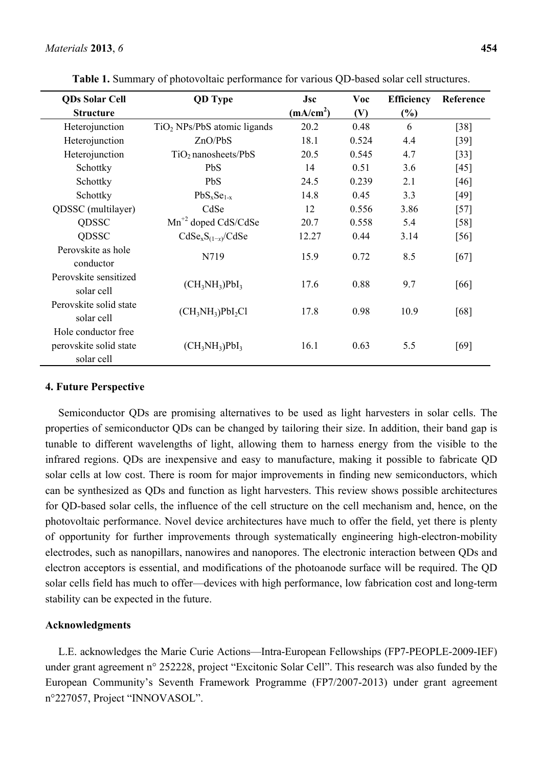| <b>QDs Solar Cell</b>                                       | <b>QD</b> Type                | Jsc                   | Voc   | <b>Efficiency</b> | Reference |
|-------------------------------------------------------------|-------------------------------|-----------------------|-------|-------------------|-----------|
| <b>Structure</b>                                            |                               | (mA/cm <sup>2</sup> ) | (V)   | $(\%)$            |           |
| Heterojunction                                              | $TiO2$ NPs/PbS atomic ligands | 20.2                  | 0.48  | 6                 | $[38]$    |
| Heterojunction                                              | ZnO/PbS                       | 18.1                  | 0.524 | 4.4               | [39]      |
| Heterojunction                                              | $TiO2$ nanosheets/PbS         | 20.5                  | 0.545 | 4.7               | $[33]$    |
| Schottky                                                    | <b>PbS</b>                    | 14                    | 0.51  | 3.6               | [45]      |
| Schottky                                                    | PbS                           | 24.5                  | 0.239 | 2.1               | [46]      |
| Schottky                                                    | $PbS_xSe_{1-x}$               | 14.8                  | 0.45  | 3.3               | $[49]$    |
| QDSSC (multilayer)                                          | CdSe                          | 12                    | 0.556 | 3.86              | $[57]$    |
| <b>QDSSC</b>                                                | $Mn^{2}$ doped CdS/CdSe       | 20.7                  | 0.558 | 5.4               | [58]      |
| QDSSC                                                       | $CdSe_xS_{(1-x)}/CdSe$        | 12.27                 | 0.44  | 3.14              | [56]      |
| Perovskite as hole<br>conductor                             | N719                          | 15.9                  | 0.72  | 8.5               | [67]      |
| Perovskite sensitized<br>solar cell                         | $(CH_3NH_3)PbI_3$             | 17.6                  | 0.88  | 9.7               | [66]      |
| Perovskite solid state<br>solar cell                        | $(CH_3NH_3)PbI_2Cl$           | 17.8                  | 0.98  | 10.9              | [68]      |
| Hole conductor free<br>perovskite solid state<br>solar cell | $(CH_3NH_3)PbI_3$             | 16.1                  | 0.63  | 5.5               | [69]      |

**Table 1.** Summary of photovoltaic performance for various QD-based solar cell structures.

## **4. Future Perspective**

Semiconductor QDs are promising alternatives to be used as light harvesters in solar cells. The properties of semiconductor QDs can be changed by tailoring their size. In addition, their band gap is tunable to different wavelengths of light, allowing them to harness energy from the visible to the infrared regions. QDs are inexpensive and easy to manufacture, making it possible to fabricate QD solar cells at low cost. There is room for major improvements in finding new semiconductors, which can be synthesized as QDs and function as light harvesters. This review shows possible architectures for QD-based solar cells, the influence of the cell structure on the cell mechanism and, hence, on the photovoltaic performance. Novel device architectures have much to offer the field, yet there is plenty of opportunity for further improvements through systematically engineering high-electron-mobility electrodes, such as nanopillars, nanowires and nanopores. The electronic interaction between QDs and electron acceptors is essential, and modifications of the photoanode surface will be required. The QD solar cells field has much to offer—devices with high performance, low fabrication cost and long-term stability can be expected in the future.

#### **Acknowledgments**

L.E. acknowledges the Marie Curie Actions—Intra-European Fellowships (FP7-PEOPLE-2009-IEF) under grant agreement n° 252228, project "Excitonic Solar Cell". This research was also funded by the European Community's Seventh Framework Programme (FP7/2007-2013) under grant agreement n°227057, Project "INNOVASOL".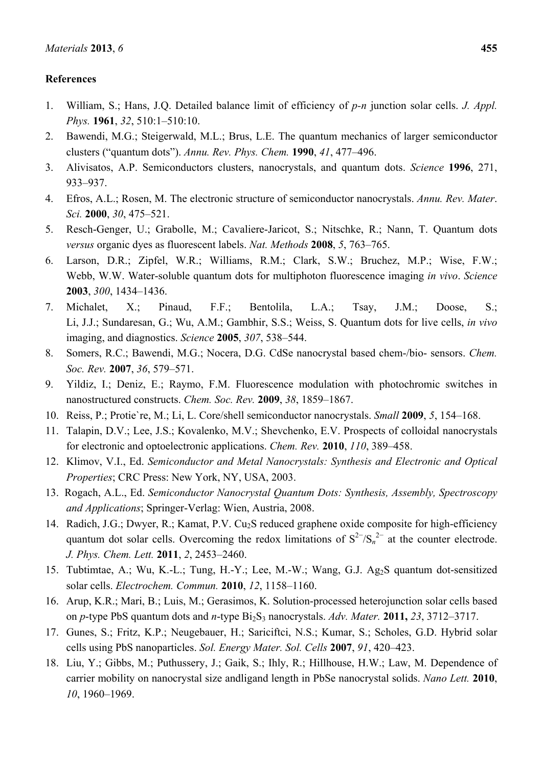# **References**

- 1. William, S.; Hans, J.Q. Detailed balance limit of efficiency of *p-n* junction solar cells. *J. Appl. Phys.* **1961**, *32*, 510:1–510:10.
- 2. Bawendi, M.G.; Steigerwald, M.L.; Brus, L.E. The quantum mechanics of larger semiconductor clusters ("quantum dots"). *Annu. Rev. Phys. Chem.* **1990**, *41*, 477–496.
- 3. Alivisatos, A.P. Semiconductors clusters, nanocrystals, and quantum dots. *Science* **1996**, 271, 933–937.
- 4. Efros, A.L.; Rosen, M. The electronic structure of semiconductor nanocrystals. *Annu. Rev. Mater*. *Sci.* **2000**, *30*, 475–521.
- 5. Resch-Genger, U.; Grabolle, M.; Cavaliere-Jaricot, S.; Nitschke, R.; Nann, T. Quantum dots *versus* organic dyes as fluorescent labels. *Nat. Methods* **2008**, *5*, 763–765.
- 6. Larson, D.R.; Zipfel, W.R.; Williams, R.M.; Clark, S.W.; Bruchez, M.P.; Wise, F.W.; Webb, W.W. Water-soluble quantum dots for multiphoton fluorescence imaging *in vivo*. *Science*  **2003**, *300*, 1434–1436.
- 7. Michalet, X.; Pinaud, F.F.; Bentolila, L.A.; Tsay, J.M.; Doose, S.; Li, J.J.; Sundaresan, G.; Wu, A.M.; Gambhir, S.S.; Weiss, S. Quantum dots for live cells, *in vivo* imaging, and diagnostics. *Science* **2005**, *307*, 538–544.
- 8. Somers, R.C.; Bawendi, M.G.; Nocera, D.G. CdSe nanocrystal based chem-/bio- sensors. *Chem. Soc. Rev.* **2007**, *36*, 579–571.
- 9. Yildiz, I.; Deniz, E.; Raymo, F.M. Fluorescence modulation with photochromic switches in nanostructured constructs. *Chem. Soc. Rev.* **2009**, *38*, 1859–1867.
- 10. Reiss, P.; Protie`re, M.; Li, L. Core/shell semiconductor nanocrystals. *Small* **2009**, *5*, 154–168.
- 11. Talapin, D.V.; Lee, J.S.; Kovalenko, M.V.; Shevchenko, E.V. Prospects of colloidal nanocrystals for electronic and optoelectronic applications. *Chem. Rev.* **2010**, *110*, 389–458.
- 12. Klimov, V.I., Ed. *Semiconductor and Metal Nanocrystals: Synthesis and Electronic and Optical Properties*; CRC Press: New York, NY, USA, 2003.
- 13. Rogach, A.L., Ed. *Semiconductor Nanocrystal Quantum Dots: Synthesis, Assembly, Spectroscopy and Applications*; Springer-Verlag: Wien, Austria, 2008.
- 14. Radich, J.G.; Dwyer, R.; Kamat, P.V. Cu<sub>2</sub>S reduced graphene oxide composite for high-efficiency quantum dot solar cells. Overcoming the redox limitations of  $S^{2-}/S_n^{2-}$  at the counter electrode. *J. Phys. Chem. Lett.* **2011**, *2*, 2453–2460.
- 15. Tubtimtae, A.; Wu, K.-L.; Tung, H.-Y.; Lee, M.-W.; Wang, G.J. Ag2S quantum dot-sensitized solar cells. *Electrochem. Commun.* **2010**, *12*, 1158–1160.
- 16. Arup, K.R.; Mari, B.; Luis, M.; Gerasimos, K. Solution-processed heterojunction solar cells based on *p*-type PbS quantum dots and *n*-type Bi2S3 nanocrystals. *Adv. Mater.* **2011,** *23*, 3712–3717.
- 17. Gunes, S.; Fritz, K.P.; Neugebauer, H.; Sariciftci, N.S.; Kumar, S.; Scholes, G.D. Hybrid solar cells using PbS nanoparticles. *Sol. Energy Mater. Sol. Cells* **2007**, *91*, 420–423.
- 18. Liu, Y.; Gibbs, M.; Puthussery, J.; Gaik, S.; Ihly, R.; Hillhouse, H.W.; Law, M. Dependence of carrier mobility on nanocrystal size andligand length in PbSe nanocrystal solids. *Nano Lett.* **2010**, *10*, 1960–1969.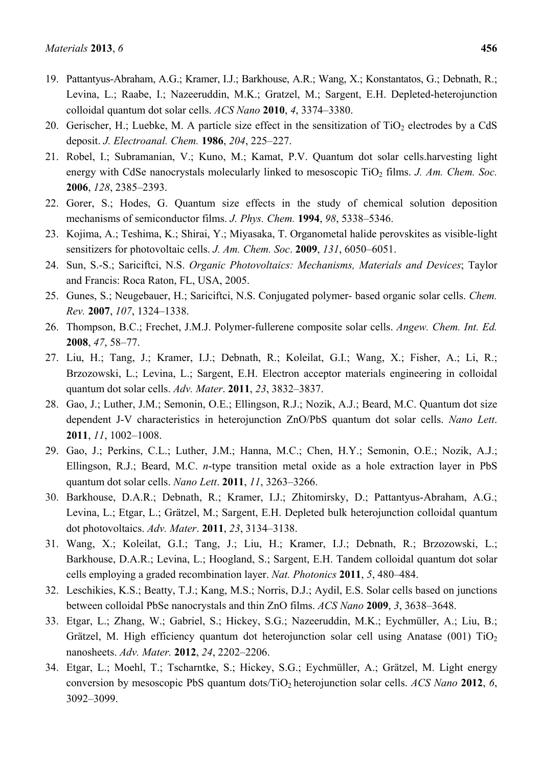- 19. Pattantyus-Abraham, A.G.; Kramer, I.J.; Barkhouse, A.R.; Wang, X.; Konstantatos, G.; Debnath, R.; Levina, L.; Raabe, I.; Nazeeruddin, M.K.; Gratzel, M.; Sargent, E.H. Depleted-heterojunction colloidal quantum dot solar cells. *ACS Nano* **2010**, *4*, 3374–3380.
- 20. Gerischer, H.; Luebke, M. A particle size effect in the sensitization of  $TiO<sub>2</sub>$  electrodes by a CdS deposit. *J. Electroanal. Chem.* **1986**, *204*, 225–227.
- 21. Robel, I.; Subramanian, V.; Kuno, M.; Kamat, P.V. Quantum dot solar cells.harvesting light energy with CdSe nanocrystals molecularly linked to mesoscopic TiO<sub>2</sub> films. *J. Am. Chem. Soc.* **2006**, *128*, 2385–2393.
- 22. Gorer, S.; Hodes, G. Quantum size effects in the study of chemical solution deposition mechanisms of semiconductor films. *J. Phys. Chem.* **1994**, *98*, 5338–5346.
- 23. Kojima, A.; Teshima, K.; Shirai, Y.; Miyasaka, T. Organometal halide perovskites as visible-light sensitizers for photovoltaic cells. *J. Am. Chem. Soc*. **2009**, *131*, 6050–6051.
- 24. Sun, S.-S.; Sariciftci, N.S. *Organic Photovoltaics: Mechanisms, Materials and Devices*; Taylor and Francis: Roca Raton, FL, USA, 2005.
- 25. Gunes, S.; Neugebauer, H.; Sariciftci, N.S. Conjugated polymer- based organic solar cells. *Chem. Rev.* **2007**, *107*, 1324–1338.
- 26. Thompson, B.C.; Frechet, J.M.J. Polymer-fullerene composite solar cells. *Angew. Chem. Int. Ed.*  **2008**, *47*, 58–77.
- 27. Liu, H.; Tang, J.; Kramer, I.J.; Debnath, R.; Koleilat, G.I.; Wang, X.; Fisher, A.; Li, R.; Brzozowski, L.; Levina, L.; Sargent, E.H. Electron acceptor materials engineering in colloidal quantum dot solar cells. *Adv. Mater*. **2011**, *23*, 3832–3837.
- 28. Gao, J.; Luther, J.M.; Semonin, O.E.; Ellingson, R.J.; Nozik, A.J.; Beard, M.C. Quantum dot size dependent J-V characteristics in heterojunction ZnO/PbS quantum dot solar cells. *Nano Lett*. **2011**, *11*, 1002–1008.
- 29. Gao, J.; Perkins, C.L.; Luther, J.M.; Hanna, M.C.; Chen, H.Y.; Semonin, O.E.; Nozik, A.J.; Ellingson, R.J.; Beard, M.C. *n*-type transition metal oxide as a hole extraction layer in PbS quantum dot solar cells. *Nano Lett*. **2011**, *11*, 3263–3266.
- 30. Barkhouse, D.A.R.; Debnath, R.; Kramer, I.J.; Zhitomirsky, D.; Pattantyus-Abraham, A.G.; Levina, L.; Etgar, L.; Grätzel, M.; Sargent, E.H. Depleted bulk heterojunction colloidal quantum dot photovoltaics. *Adv. Mater*. **2011**, *23*, 3134–3138.
- 31. Wang, X.; Koleilat, G.I.; Tang, J.; Liu, H.; Kramer, I.J.; Debnath, R.; Brzozowski, L.; Barkhouse, D.A.R.; Levina, L.; Hoogland, S.; Sargent, E.H. Tandem colloidal quantum dot solar cells employing a graded recombination layer. *Nat. Photonics* **2011**, *5*, 480–484.
- 32. Leschikies, K.S.; Beatty, T.J.; Kang, M.S.; Norris, D.J.; Aydil, E.S. Solar cells based on junctions between colloidal PbSe nanocrystals and thin ZnO films. *ACS Nano* **2009**, *3*, 3638–3648.
- 33. Etgar, L.; Zhang, W.; Gabriel, S.; Hickey, S.G.; Nazeeruddin, M.K.; Eychmüller, A.; Liu, B.; Grätzel, M. High efficiency quantum dot heterojunction solar cell using Anatase (001)  $TiO<sub>2</sub>$ nanosheets. *Adv. Mater.* **2012**, *24*, 2202–2206.
- 34. Etgar, L.; Moehl, T.; Tscharntke, S.; Hickey, S.G.; Eychmüller, A.; Grätzel, M. Light energy conversion by mesoscopic PbS quantum dots/TiO2 heterojunction solar cells. *ACS Nano* **2012**, *6*, 3092–3099.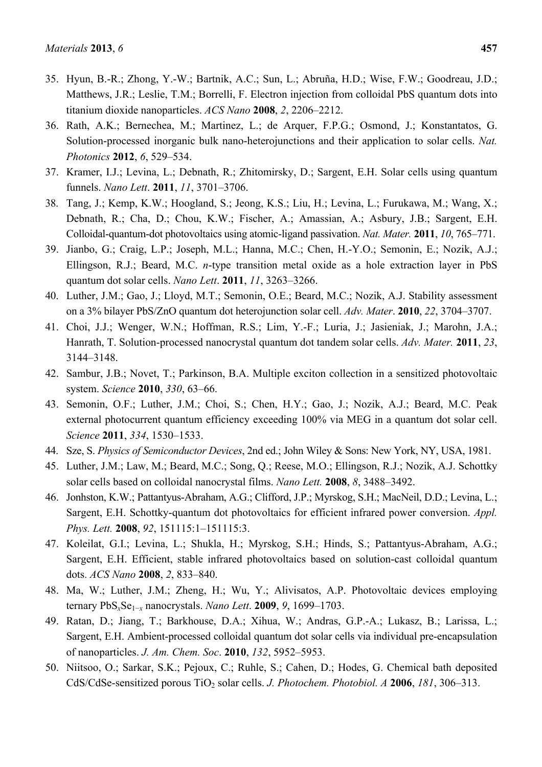- 35. Hyun, B.-R.; Zhong, Y.-W.; Bartnik, A.C.; Sun, L.; Abruña, H.D.; Wise, F.W.; Goodreau, J.D.; Matthews, J.R.; Leslie, T.M.; Borrelli, F. Electron injection from colloidal PbS quantum dots into titanium dioxide nanoparticles. *ACS Nano* **2008**, *2*, 2206–2212.
- 36. Rath, A.K.; Bernechea, M.; Martinez, L.; de Arquer, F.P.G.; Osmond, J.; Konstantatos, G. Solution-processed inorganic bulk nano-heterojunctions and their application to solar cells. *Nat. Photonics* **2012**, *6*, 529–534.
- 37. Kramer, I.J.; Levina, L.; Debnath, R.; Zhitomirsky, D.; Sargent, E.H. Solar cells using quantum funnels. *Nano Lett*. **2011**, *11*, 3701–3706.
- 38. Tang, J.; Kemp, K.W.; Hoogland, S.; Jeong, K.S.; Liu, H.; Levina, L.; Furukawa, M.; Wang, X.; Debnath, R.; Cha, D.; Chou, K.W.; Fischer, A.; Amassian, A.; Asbury, J.B.; Sargent, E.H. Colloidal-quantum-dot photovoltaics using atomic-ligand passivation. *Nat. Mater.* **2011**, *10*, 765–771.
- 39. Jianbo, G.; Craig, L.P.; Joseph, M.L.; Hanna, M.C.; Chen, H.-Y.O.; Semonin, E.; Nozik, A.J.; Ellingson, R.J.; Beard, M.C. *n*-type transition metal oxide as a hole extraction layer in PbS quantum dot solar cells. *Nano Lett*. **2011**, *11*, 3263–3266.
- 40. Luther, J.M.; Gao, J.; Lloyd, M.T.; Semonin, O.E.; Beard, M.C.; Nozik, A.J. Stability assessment on a 3% bilayer PbS/ZnO quantum dot heterojunction solar cell. *Adv. Mater*. **2010**, *22*, 3704–3707.
- 41. Choi, J.J.; Wenger, W.N.; Hoffman, R.S.; Lim, Y.-F.; Luria, J.; Jasieniak, J.; Marohn, J.A.; Hanrath, T. Solution-processed nanocrystal quantum dot tandem solar cells. *Adv. Mater.* **2011**, *23*, 3144–3148.
- 42. Sambur, J.B.; Novet, T.; Parkinson, B.A. Multiple exciton collection in a sensitized photovoltaic system. *Science* **2010**, *330*, 63–66.
- 43. Semonin, O.F.; Luther, J.M.; Choi, S.; Chen, H.Y.; Gao, J.; Nozik, A.J.; Beard, M.C. Peak external photocurrent quantum efficiency exceeding 100% via MEG in a quantum dot solar cell. *Science* **2011**, *334*, 1530–1533.
- 44. Sze, S. *Physics of Semiconductor Devices*, 2nd ed.; John Wiley & Sons: New York, NY, USA, 1981.
- 45. Luther, J.M.; Law, M.; Beard, M.C.; Song, Q.; Reese, M.O.; Ellingson, R.J.; Nozik, A.J. Schottky solar cells based on colloidal nanocrystal films. *Nano Lett.* **2008**, *8*, 3488–3492.
- 46. Jonhston, K.W.; Pattantyus-Abraham, A.G.; Clifford, J.P.; Myrskog, S.H.; MacNeil, D.D.; Levina, L.; Sargent, E.H. Schottky-quantum dot photovoltaics for efficient infrared power conversion. *Appl. Phys. Lett.* **2008**, *92*, 151115:1–151115:3.
- 47. Koleilat, G.I.; Levina, L.; Shukla, H.; Myrskog, S.H.; Hinds, S.; Pattantyus-Abraham, A.G.; Sargent, E.H. Efficient, stable infrared photovoltaics based on solution-cast colloidal quantum dots. *ACS Nano* **2008**, *2*, 833–840.
- 48. Ma, W.; Luther, J.M.; Zheng, H.; Wu, Y.; Alivisatos, A.P. Photovoltaic devices employing ternary PbS*x*Se1−*x* nanocrystals. *Nano Lett*. **2009**, *9*, 1699–1703.
- 49. Ratan, D.; Jiang, T.; Barkhouse, D.A.; Xihua, W.; Andras, G.P.-A.; Lukasz, B.; Larissa, L.; Sargent, E.H. Ambient-processed colloidal quantum dot solar cells via individual pre-encapsulation of nanoparticles. *J. Am. Chem. Soc*. **2010**, *132*, 5952–5953.
- 50. Niitsoo, O.; Sarkar, S.K.; Pejoux, C.; Ruhle, S.; Cahen, D.; Hodes, G. Chemical bath deposited CdS/CdSe-sensitized porous TiO<sub>2</sub> solar cells. *J. Photochem. Photobiol. A* **2006**, *181*, 306–313.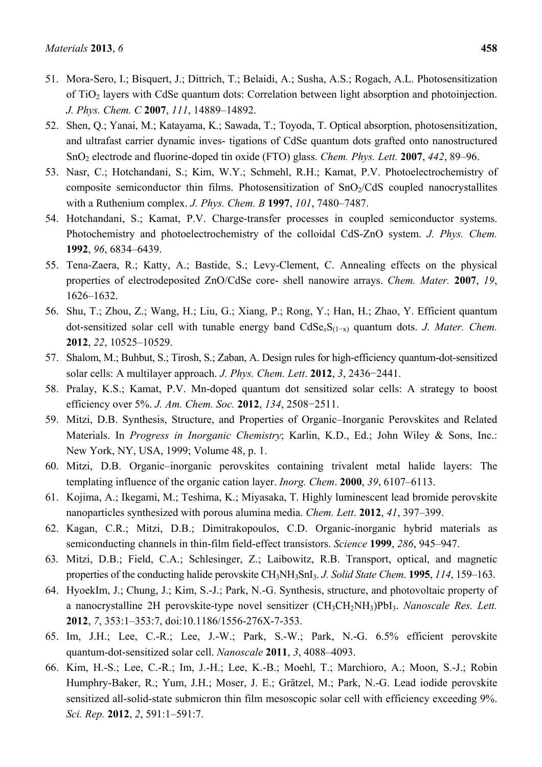- 51. Mora-Sero, I.; Bisquert, J.; Dittrich, T.; Belaidi, A.; Susha, A.S.; Rogach, A.L. Photosensitization of TiO2 layers with CdSe quantum dots: Correlation between light absorption and photoinjection. *J. Phys. Chem. C* **2007**, *111*, 14889–14892.
- 52. Shen, Q.; Yanai, M.; Katayama, K.; Sawada, T.; Toyoda, T. Optical absorption, photosensitization, and ultrafast carrier dynamic inves- tigations of CdSe quantum dots grafted onto nanostructured SnO2 electrode and fluorine-doped tin oxide (FTO) glass. *Chem. Phys. Lett.* **2007**, *442*, 89–96.
- 53. Nasr, C.; Hotchandani, S.; Kim, W.Y.; Schmehl, R.H.; Kamat, P.V. Photoelectrochemistry of composite semiconductor thin films. Photosensitization of  $SnO<sub>2</sub>/CdS$  coupled nanocrystallites with a Ruthenium complex. *J. Phys. Chem. B* **1997**, *101*, 7480–7487.
- 54. Hotchandani, S.; Kamat, P.V. Charge-transfer processes in coupled semiconductor systems. Photochemistry and photoelectrochemistry of the colloidal CdS-ZnO system. *J. Phys. Chem.*  **1992**, *96*, 6834–6439.
- 55. Tena-Zaera, R.; Katty, A.; Bastide, S.; Levy-Clement, C. Annealing effects on the physical properties of electrodeposited ZnO/CdSe core- shell nanowire arrays. *Chem. Mater.* **2007**, *19*, 1626–1632.
- 56. Shu, T.; Zhou, Z.; Wang, H.; Liu, G.; Xiang, P.; Rong, Y.; Han, H.; Zhao, Y. Efficient quantum dot-sensitized solar cell with tunable energy band CdSe*x*S(1−x) quantum dots. *J. Mater. Chem.*  **2012**, *22*, 10525–10529.
- 57. Shalom, M.; Buhbut, S.; Tirosh, S.; Zaban, A. Design rules for high-efficiency quantum-dot-sensitized solar cells: A multilayer approach. *J. Phys. Chem. Lett*. **2012**, *3*, 2436−2441.
- 58. Pralay, K.S.; Kamat, P.V. Mn-doped quantum dot sensitized solar cells: A strategy to boost efficiency over 5%. *J. Am. Chem. Soc.* **2012**, *134*, 2508−2511.
- 59. Mitzi, D.B. Synthesis, Structure, and Properties of Organic–Inorganic Perovskites and Related Materials. In *Progress in Inorganic Chemistry*; Karlin, K.D., Ed.; John Wiley & Sons, Inc.: New York, NY, USA, 1999; Volume 48, p. 1.
- 60. Mitzi, D.B. Organic–inorganic perovskites containing trivalent metal halide layers: The templating influence of the organic cation layer. *Inorg. Chem*. **2000**, *39*, 6107–6113.
- 61. Kojima, A.; Ikegami, M.; Teshima, K.; Miyasaka, T. Highly luminescent lead bromide perovskite nanoparticles synthesized with porous alumina media. *Chem. Lett*. **2012**, *41*, 397–399.
- 62. Kagan, C.R.; Mitzi, D.B.; Dimitrakopoulos, C.D. Organic-inorganic hybrid materials as semiconducting channels in thin-film field-effect transistors. *Science* **1999**, *286*, 945–947.
- 63. Mitzi, D.B.; Field, C.A.; Schlesinger, Z.; Laibowitz, R.B. Transport, optical, and magnetic properties of the conducting halide perovskite CH3NH3SnI3. *J. Solid State Chem*. **1995**, *114*, 159–163.
- 64. HyoekIm, J.; Chung, J.; Kim, S.-J.; Park, N.-G. Synthesis, structure, and photovoltaic property of a nanocrystalline 2H perovskite-type novel sensitizer (CH3CH2NH3)PbI3. *Nanoscale Res. Lett.* **2012**, *7*, 353:1–353:7, doi:10.1186/1556-276X-7-353.
- 65. Im, J.H.; Lee, C.-R.; Lee, J.-W.; Park, S.-W.; Park, N.-G. 6.5% efficient perovskite quantum-dot-sensitized solar cell. *Nanoscale* **2011**, *3*, 4088–4093.
- 66. Kim, H.-S.; Lee, C.-R.; Im, J.-H.; Lee, K.-B.; Moehl, T.; Marchioro, A.; Moon, S.-J.; Robin Humphry-Baker, R.; Yum, J.H.; Moser, J. E.; Grätzel, M.; Park, N.-G. Lead iodide perovskite sensitized all-solid-state submicron thin film mesoscopic solar cell with efficiency exceeding 9%. *Sci. Rep.* **2012**, *2*, 591:1–591:7.